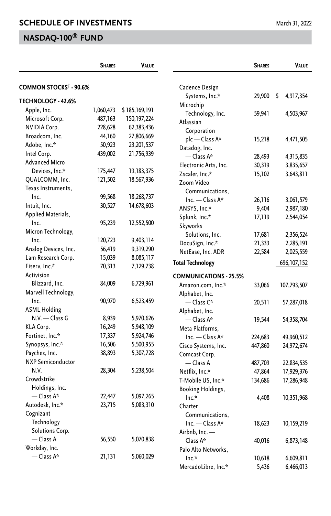|                                    | <b>SHARES</b> | <b>VALUE</b>  |                                | <b>SHARES</b> | VALUE           |
|------------------------------------|---------------|---------------|--------------------------------|---------------|-----------------|
| COMMON STOCKS <sup>†</sup> - 90.6% |               |               | Cadence Design                 |               |                 |
|                                    |               |               | Systems, Inc.*                 | 29,900        | \$<br>4,917,354 |
| TECHNOLOGY - 42.6%                 |               |               | Microchip                      |               |                 |
| Apple, Inc.                        | 1,060,473     | \$185,169,191 | Technology, Inc.               | 59,941        | 4,503,967       |
| Microsoft Corp.                    | 487,163       | 150,197,224   | Atlassian                      |               |                 |
| <b>NVIDIA Corp.</b>                | 228,628       | 62,383,436    | Corporation                    |               |                 |
| Broadcom, Inc.                     | 44,160        | 27,806,669    | plc - Class A*                 | 15,218        | 4,471,505       |
| Adobe, Inc.*                       | 50,923        | 23,201,537    | Datadog, Inc.                  |               |                 |
| Intel Corp.                        | 439,002       | 21,756,939    | $-\text{Class } A^*$           | 28,493        | 4,315,835       |
| <b>Advanced Micro</b>              |               |               | Electronic Arts, Inc.          | 30,319        | 3,835,657       |
| Devices, Inc.*                     | 175,447       | 19, 183, 375  | Zscaler, Inc.*                 | 15,102        | 3,643,811       |
| QUALCOMM, Inc.                     | 121,502       | 18,567,936    | Zoom Video                     |               |                 |
| Texas Instruments,                 |               |               | Communications,                |               |                 |
| Inc.                               | 99,568        | 18,268,737    | Inc. - Class A*                | 26,116        | 3,061,579       |
| Intuit, Inc.                       | 30,527        | 14,678,603    | ANSYS, Inc.*                   | 9,404         | 2,987,180       |
| Applied Materials,                 |               |               | Splunk, Inc.*                  | 17,119        | 2,544,054       |
| Inc.                               | 95,239        | 12,552,500    | Skyworks                       |               |                 |
| Micron Technology,                 |               |               | Solutions, Inc.                | 17,681        | 2,356,524       |
| Inc.                               | 120,723       | 9,403,114     | DocuSign, Inc.*                | 21,333        | 2,285,191       |
| Analog Devices, Inc.               | 56,419        | 9,319,290     | NetEase, Inc. ADR              | 22,584        | 2,025,559       |
| Lam Research Corp.                 | 15,039        | 8,085,117     |                                |               |                 |
| Fiserv, Inc.*                      | 70,313        | 7,129,738     | <b>Total Technology</b>        |               | 696, 107, 152   |
| Activision                         |               |               | <b>COMMUNICATIONS - 25.5%</b>  |               |                 |
| Blizzard, Inc.                     | 84,009        | 6,729,961     | Amazon.com, Inc.*              | 33,066        | 107,793,507     |
| Marvell Technology,                |               |               | Alphabet, Inc.                 |               |                 |
| Inc.                               | 90,970        | 6,523,459     | — Class C*                     | 20,511        | 57,287,018      |
| <b>ASML Holding</b>                |               |               | Alphabet, Inc.                 |               |                 |
| N.V. - Class G                     | 8,939         | 5,970,626     | $-\mathsf{Class}\,A^*$         | 19,544        | 54,358,704      |
| KLA Corp.                          | 16,249        | 5,948,109     | Meta Platforms.                |               |                 |
| Fortinet, Inc.*                    | 17,337        | 5,924,746     | Inc. - Class A*                | 224,683       | 49,960,512      |
| Synopsys, Inc.*                    | 16,506        | 5,500,955     | Cisco Systems, Inc.            | 447,860       | 24,972,674      |
| Paychex, Inc.                      | 38,893        | 5,307,728     | Comcast Corp.                  |               |                 |
| <b>NXP Semiconductor</b>           |               |               | — Class A                      | 487,709       | 22,834,535      |
| N.V.                               | 28,304        | 5,238,504     | Netflix, Inc.*                 | 47,864        | 17,929,376      |
| Crowdstrike                        |               |               | T-Mobile US, Inc.*             | 134,686       | 17,286,948      |
| Holdings, Inc.                     |               |               |                                |               |                 |
| $-$ Class A*                       | 22,447        | 5,097,265     | Booking Holdings,<br>$Inc.*$   | 4,408         | 10,351,968      |
| Autodesk, Inc.*                    | 23,715        | 5,083,310     | Charter                        |               |                 |
| Cognizant                          |               |               | Communications,                |               |                 |
| Technology                         |               |               | Inc. - Class A*                |               |                 |
| Solutions Corp.                    |               |               |                                | 18,623        | 10,159,219      |
| — Class A                          | 56,550        | 5,070,838     | Airbnb, Inc. -                 |               |                 |
| Workday, Inc.                      |               |               | Class A*                       | 40,016        | 6,873,148       |
| $-\text{Class } A^*$               | 21,131        | 5,060,029     | Palo Alto Networks,<br>$Inc.*$ |               |                 |
|                                    |               |               |                                | 10,618        | 6,609,811       |
|                                    |               |               | MercadoLibre, Inc.*            | 5,436         | 6,466,013       |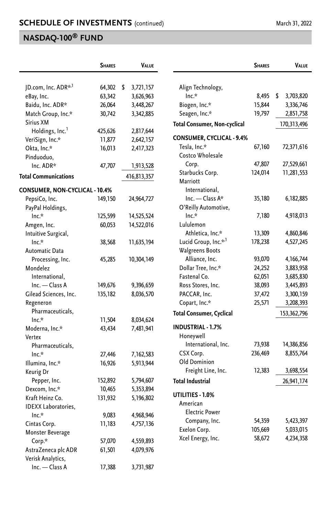|                                | <b>SHARES</b><br><b>VALUE</b> |    | <b>SHARES</b> | <b>VALUE</b>                     |         |                 |
|--------------------------------|-------------------------------|----|---------------|----------------------------------|---------|-----------------|
| JD.com, Inc. ADR* <sup>1</sup> | 64,302                        | \$ | 3,721,157     | Align Technology,                |         |                 |
| eBay, Inc.                     | 63,342                        |    | 3,626,963     | $Inc.*$                          | 8,495   | \$<br>3,703,820 |
| Baidu, Inc. ADR*               | 26,064                        |    | 3,448,267     | Biogen, Inc.*                    | 15,844  | 3,336,746       |
| Match Group, Inc.*             | 30,742                        |    | 3,342,885     | Seagen, Inc.*                    | 19,797  | 2,851,758       |
| Sirius XM                      |                               |    |               |                                  |         |                 |
| Holdings, Inc. <sup>1</sup>    | 425,626                       |    | 2,817,644     | Total Consumer, Non-cyclical     |         | 170,313,496     |
| VeriSign, Inc.*                | 11,877                        |    | 2,642,157     | <b>CONSUMER, CYCLICAL - 9.4%</b> |         |                 |
| Okta, Inc.*                    | 16,013                        |    | 2,417,323     | Tesla, Inc.*                     | 67,160  | 72,371,616      |
| Pinduoduo,                     |                               |    |               | Costco Wholesale                 |         |                 |
| Inc. ADR*                      | 47,707                        |    | 1,913,528     | Corp.                            | 47,807  | 27,529,661      |
|                                |                               |    |               | Starbucks Corp.                  | 124,014 | 11,281,553      |
| <b>Total Communications</b>    |                               |    | 416,813,357   | Marriott                         |         |                 |
| CONSUMER, NON-CYCLICAL - 10.4% |                               |    |               | International,                   |         |                 |
| PepsiCo, Inc.                  | 149,150                       |    | 24,964,727    | Inc. - Class A*                  | 35,180  | 6, 182, 885     |
| PayPal Holdings,               |                               |    |               | O'Reilly Automotive,             |         |                 |
| $Inc.*$                        | 125,599                       |    | 14,525,524    | $Inc.*$                          | 7,180   | 4,918,013       |
| Amgen, Inc.                    | 60,053                        |    | 14,522,016    | Lululemon                        |         |                 |
| Intuitive Surgical,            |                               |    |               | Athletica, Inc.*                 | 13,309  | 4,860,846       |
| $Inc.*$                        | 38,568                        |    | 11,635,194    | Lucid Group, Inc.* <sup>1</sup>  | 178,238 | 4,527,245       |
| Automatic Data                 |                               |    |               | Walgreens Boots                  |         |                 |
| Processing, Inc.               | 45,285                        |    | 10,304,149    | Alliance, Inc.                   | 93,070  | 4,166,744       |
| Mondelez                       |                               |    |               | Dollar Tree, Inc.*               | 24,252  | 3,883,958       |
| International,                 |                               |    |               | Fastenal Co.                     | 62,051  | 3,685,830       |
| Inc. — Class A                 | 149,676                       |    | 9,396,659     | Ross Stores, Inc.                | 38,093  | 3,445,893       |
| Gilead Sciences, Inc.          | 135,182                       |    | 8,036,570     | PACCAR, Inc.                     | 37,472  | 3,300,159       |
| Regeneron                      |                               |    |               | Copart, Inc.*                    | 25,571  | 3,208,393       |
| Pharmaceuticals,               |                               |    |               | Total Consumer, Cyclical         |         | 153,362,796     |
| $Inc.*$                        | 11,504                        |    | 8,034,624     |                                  |         |                 |
| Moderna, Inc.*                 | 43,434                        |    | 7,481,941     | <b>INDUSTRIAL - 1.7%</b>         |         |                 |
| Vertex                         |                               |    |               | Honeywell                        |         |                 |
| Pharmaceuticals,               |                               |    |               | International, Inc.              | 73,938  | 14,386,856      |
| $Inc.*$                        | 27,446                        |    | 7,162,583     | CSX Corp.                        | 236,469 | 8,855,764       |
| Illumina, Inc.*                | 16,926                        |    | 5,913,944     | Old Dominion                     |         |                 |
| Keurig Dr                      |                               |    |               | Freight Line, Inc.               | 12,383  | 3,698,554       |
| Pepper, Inc.                   | 152,892                       |    | 5,794,607     | <b>Total Industrial</b>          |         | 26,941,174      |
| Dexcom, Inc.*                  | 10,465                        |    | 5,353,894     |                                  |         |                 |
| Kraft Heinz Co.                | 131,932                       |    | 5,196,802     | UTILITIES - 1.0%                 |         |                 |
| <b>IDEXX Laboratories,</b>     |                               |    |               | American                         |         |                 |
| $Inc.*$                        | 9,083                         |    | 4,968,946     | <b>Electric Power</b>            |         |                 |
| Cintas Corp.                   | 11,183                        |    | 4,757,136     | Company, Inc.                    | 54,359  | 5,423,397       |
| Monster Beverage               |                               |    |               | Exelon Corp.                     | 105,669 | 5,033,015       |
| Corp.*                         | 57,070                        |    | 4,559,893     | Xcel Energy, Inc.                | 58,672  | 4,234,358       |
| AstraZeneca plc ADR            | 61,501                        |    | 4,079,976     |                                  |         |                 |
| Verisk Analytics,              |                               |    |               |                                  |         |                 |
| $Inc. - Class A$               | 17,388                        |    | 3,731,987     |                                  |         |                 |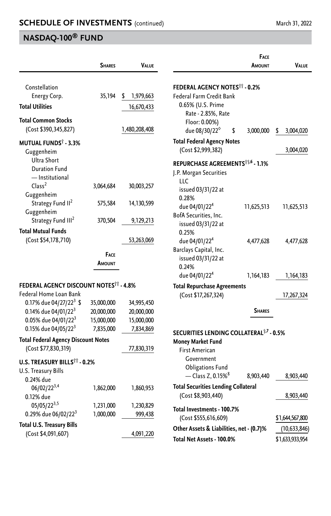|                                                                                           | <b>SHARES</b>            | <b>VALUE</b>             |                                                                                    | <b>FACE</b><br>AMOUNT | VALUE           |
|-------------------------------------------------------------------------------------------|--------------------------|--------------------------|------------------------------------------------------------------------------------|-----------------------|-----------------|
| Constellation<br>Energy Corp.                                                             | 35,194                   | 1,979,663<br>\$          | <b>FEDERAL AGENCY NOTES<sup>11</sup> - 0.2%</b><br><b>Federal Farm Credit Bank</b> |                       |                 |
| <b>Total Utilities</b>                                                                    |                          | 16,670,433               | 0.65% (U.S. Prime<br>Rate - 2.85%, Rate                                            |                       |                 |
| <b>Total Common Stocks</b><br>(Cost \$390,345,827)                                        |                          | 1,480,208,408            | Floor: 0.00%)<br>due 08/30/22 <sup>6</sup><br>\$                                   | 3,000,000             | \$<br>3,004,020 |
| <b>MUTUAL FUNDS<sup>†</sup> - 3.3%</b><br>Guggenheim                                      |                          |                          | <b>Total Federal Agency Notes</b><br>(Cost \$2,999,382)                            |                       | 3,004,020       |
| Ultra Short<br><b>Duration Fund</b><br>- Institutional<br>Class <sup>2</sup>              |                          |                          | REPURCHASE AGREEMENTS <sup>††,6</sup> - 1.1%<br>J.P. Morgan Securities<br>LLC      |                       |                 |
| Guggenheim                                                                                | 3,064,684                | 30,003,257               | issued 03/31/22 at<br>0.28%                                                        |                       |                 |
| Strategy Fund II <sup>2</sup><br>Guggenheim                                               | 575,584                  | 14,130,599               | due 04/01/22 <sup>4</sup><br>BofA Securities, Inc.                                 | 11,625,513            | 11,625,513      |
| Strategy Fund III <sup>2</sup><br><b>Total Mutual Funds</b>                               | 370,504                  | 9,129,213                | issued 03/31/22 at<br>0.25%                                                        |                       |                 |
| (Cost \$54,178,710)                                                                       |                          | 53,263,069               | due 04/01/22 <sup>4</sup>                                                          | 4,477,628             | 4,477,628       |
|                                                                                           | FACE<br>AMOUNT           |                          | Barclays Capital, Inc.<br>issued 03/31/22 at<br>0.24%                              |                       |                 |
|                                                                                           |                          |                          | due 04/01/22 <sup>4</sup>                                                          | 1,164,183             | 1,164,183       |
| <b>FEDERAL AGENCY DISCOUNT NOTES<sup>††</sup> - 4.8%</b><br>Federal Home Loan Bank        |                          |                          | <b>Total Repurchase Agreements</b><br>(Cost \$17,267,324)                          |                       |                 |
| 0.17% due 04/27/22 <sup>3</sup> \$                                                        | 35,000,000               | 34,995,450               |                                                                                    |                       | 17,267,324      |
| 0.14% due 04/01/22 <sup>3</sup><br>0.05% due 04/01/22 <sup>3</sup>                        | 20,000,000<br>15,000,000 | 20,000,000<br>15,000,000 |                                                                                    | <b>SHARES</b>         |                 |
| 0.15% due 04/05/22 <sup>3</sup>                                                           | 7,835,000                | 7,834,869                |                                                                                    |                       |                 |
| <b>Total Federal Agency Discount Notes</b>                                                |                          |                          | SECURITIES LENDING COLLATERAL <sup>†,7</sup> - 0.5%                                |                       |                 |
| (Cost \$77,830,319)                                                                       |                          | 77,830,319               | <b>Money Market Fund</b><br>First American                                         |                       |                 |
| <b>U.S. TREASURY BILLS<sup>11</sup> - 0.2%</b><br><b>U.S. Treasury Bills</b><br>0.24% due |                          |                          | Government<br><b>Obligations Fund</b><br>$-\text{Class } Z$ , 0.15% <sup>8</sup>   | 8,903,440             | 8,903,440       |
| $06/02/22^{3,4}$<br>0.12% due                                                             | 1,862,000                | 1,860,953                | <b>Total Securities Lending Collateral</b><br>(Cost \$8,903,440)                   |                       | 8,903,440       |
| $05/05/22^{3,5}$<br>0.29% due 06/02/22 <sup>3</sup>                                       | 1,231,000<br>1,000,000   | 1,230,829<br>999,438     | Total Investments - 100.7%<br>(Cost \$555,616,609)                                 |                       | \$1,644,567,800 |
| <b>Total U.S. Treasury Bills</b>                                                          |                          |                          | Other Assets & Liabilities, net - (0.7)%                                           |                       | (10,633,846)    |
| (Cost \$4,091,607)                                                                        |                          | 4,091,220                | Total Net Assets - 100.0%                                                          |                       | \$1,633,933,954 |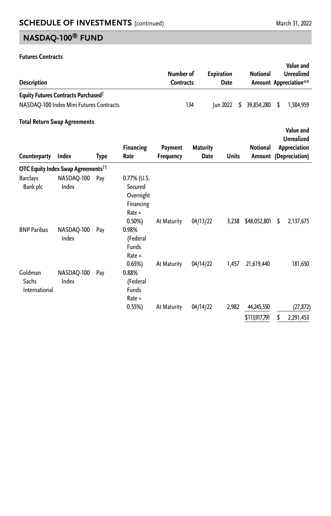#### **Futures Contracts**

| <b>Description</b>          |                                                        |      |                                                                 | Number of<br><b>Contracts</b> |                 | <b>Expiration</b><br>Date |              | Value and<br><b>Unrealized</b><br><b>Notional</b><br>Amount Appreciation** |    |                                |  |
|-----------------------------|--------------------------------------------------------|------|-----------------------------------------------------------------|-------------------------------|-----------------|---------------------------|--------------|----------------------------------------------------------------------------|----|--------------------------------|--|
|                             | <b>Equity Futures Contracts Purchased</b> <sup>®</sup> |      |                                                                 |                               |                 |                           |              |                                                                            |    |                                |  |
|                             | NASDAQ-100 Index Mini Futures Contracts                |      |                                                                 |                               | 134             | Jun 2022                  | S            | 39,854,280                                                                 | \$ | 1,584,959                      |  |
|                             | <b>Total Return Swap Agreements</b>                    |      |                                                                 |                               |                 |                           |              |                                                                            |    |                                |  |
|                             |                                                        |      |                                                                 |                               |                 |                           |              |                                                                            |    | Value and<br><b>Unrealized</b> |  |
| Counterparty                | Index                                                  | Type | <b>Financing</b><br>Rate                                        | Payment<br><b>Frequency</b>   | <b>Maturity</b> | Date                      | <b>Units</b> | Notional<br>Amount                                                         |    | Appreciation<br>(Depreciation) |  |
|                             | <b>OTC Equity Index Swap Agreements<sup>11</sup></b>   |      |                                                                 |                               |                 |                           |              |                                                                            |    |                                |  |
| <b>Barclays</b><br>Bank plc | NASDAO-100<br>Index                                    | Pay  | $0.77\%$ (U.S.<br>Secured<br>Overnight<br>Financing<br>$Rate +$ |                               |                 |                           |              |                                                                            |    |                                |  |
| <b>BNP Paribas</b>          | NASDAO-100                                             | Pay  | $0.50\%$<br>0.98%                                               | At Maturity                   | 04/13/22        |                           | 3,238        | \$48,052,801                                                               | S  | 2,137,675                      |  |

|                                   | Index               |     | (Federal<br>Funds<br>$Rate +$                   |             |          |       |                             |   |                        |
|-----------------------------------|---------------------|-----|-------------------------------------------------|-------------|----------|-------|-----------------------------|---|------------------------|
| Goldman<br>Sachs<br>International | NASDAO-100<br>Index | Pay | 0.65%<br>0.88%<br>(Federal<br>Funds<br>$Rate +$ | At Maturity | 04/14/22 | 1,457 | 21,619,440                  |   | 181,650                |
|                                   |                     |     | 0.55%                                           | At Maturity | 04/14/22 | 2,982 | 44,245,550<br>\$113,917,791 | S | (27, 872)<br>2,291,453 |